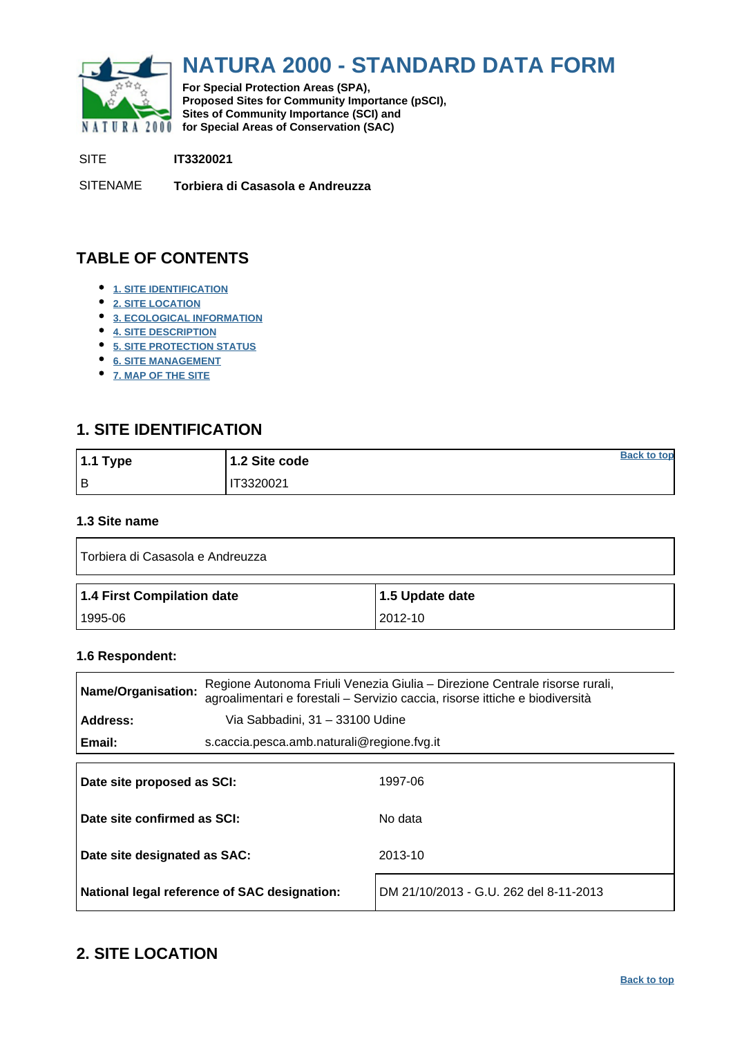<span id="page-0-0"></span>

# **NATURA 2000 - STANDARD DATA FORM**

**For Special Protection Areas (SPA), Proposed Sites for Community Importance (pSCI), Sites of Community Importance (SCI) and NATURA 2000 for Special Areas of Conservation (SAC)** 

SITE **IT3320021**

SITENAME **Torbiera di Casasola e Andreuzza**

# **TABLE OF CONTENTS**

- **[1. SITE IDENTIFICATION](#page-0-1)**
- **[2. SITE LOCATION](#page-0-2)**
- **[3. ECOLOGICAL INFORMATION](#page-1-0)**
- **[4. SITE DESCRIPTION](#page-4-0)**
- **[5. SITE PROTECTION STATUS](#page-5-0)**
- **[6. SITE MANAGEMENT](#page-6-0)**
- **[7. MAP OF THE SITE](#page-6-1)**

## <span id="page-0-1"></span>**1. SITE IDENTIFICATION**

| $1.1$ Type | 1.2 Site code | <b>Back to top</b> |
|------------|---------------|--------------------|
| l B        | T3320021      |                    |

### **1.3 Site name**

| Torbiera di Casasola e Andreuzza |                 |  |  |  |  |  |  |
|----------------------------------|-----------------|--|--|--|--|--|--|
|                                  |                 |  |  |  |  |  |  |
| 1.4 First Compilation date       | 1.5 Update date |  |  |  |  |  |  |

#### **1.6 Respondent:**

| Name/Organisation:           |                                              | Regione Autonoma Friuli Venezia Giulia – Direzione Centrale risorse rurali,<br>agroalimentari e forestali – Servizio caccia, risorse ittiche e biodiversità |  |  |  |  |
|------------------------------|----------------------------------------------|-------------------------------------------------------------------------------------------------------------------------------------------------------------|--|--|--|--|
| Address:                     | Via Sabbadini, 31 - 33100 Udine              |                                                                                                                                                             |  |  |  |  |
| Email:                       | s.caccia.pesca.amb.naturali@regione.fvg.it   |                                                                                                                                                             |  |  |  |  |
|                              |                                              |                                                                                                                                                             |  |  |  |  |
| Date site proposed as SCI:   |                                              | 1997-06                                                                                                                                                     |  |  |  |  |
| Date site confirmed as SCI:  |                                              | No data                                                                                                                                                     |  |  |  |  |
| Date site designated as SAC: |                                              | 2013-10                                                                                                                                                     |  |  |  |  |
|                              | National legal reference of SAC designation: | DM 21/10/2013 - G.U. 262 del 8-11-2013                                                                                                                      |  |  |  |  |

### <span id="page-0-2"></span>**2. SITE LOCATION**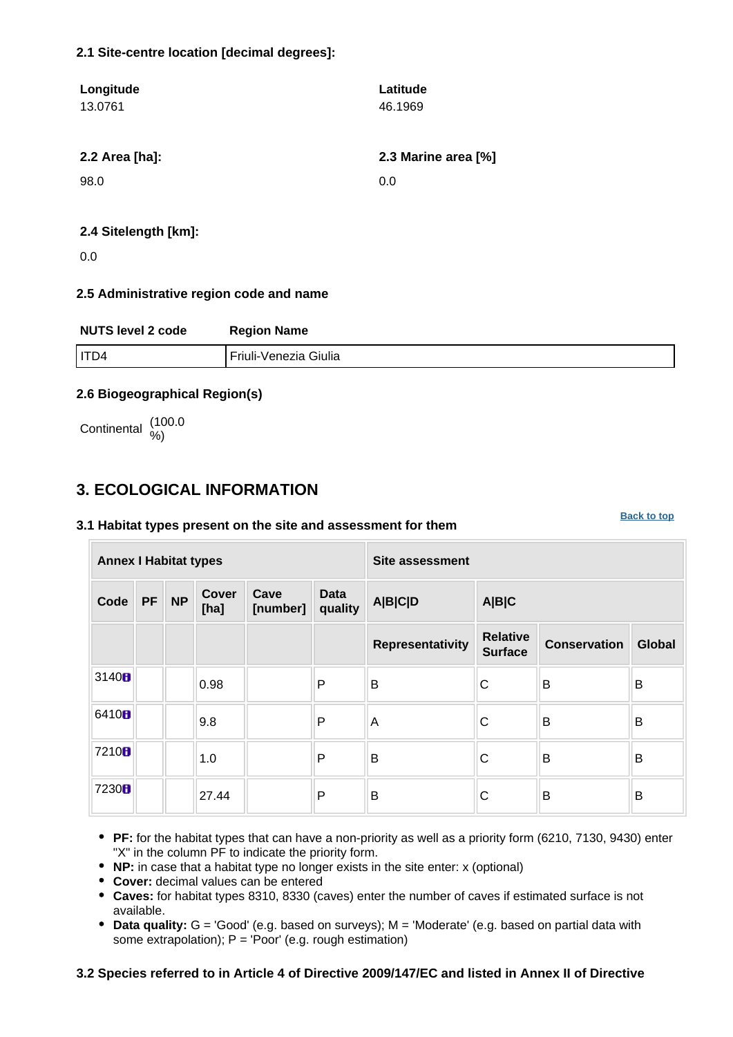### **2.1 Site-centre location [decimal degrees]:**

| Longitude<br>13.0761 | Latitude<br>46.1969 |
|----------------------|---------------------|
| 2.2 Area [ha]:       | 2.3 Marine area [%] |
| 98.0                 | 0.0                 |
| 2.4 Sitelength [km]: |                     |

### 0.0

#### **2.5 Administrative region code and name**

| <b>NUTS level 2 code</b> | <b>Region Name</b>      |
|--------------------------|-------------------------|
| I ITD4                   | l Friuli-Venezia Giulia |

### **2.6 Biogeographical Region(s)**

Continental (100.0

### <span id="page-1-0"></span>**3. ECOLOGICAL INFORMATION**

#### **3.1 Habitat types present on the site and assessment for them**

**Annex I Habitat types Site assessment Code PF NP Cover [ha] Cave [number] Data quality A|B|C|D A|B|C Representativity Relative Surface Conservation Global** 3140 **b**  $\begin{array}{|c|c|c|c|c|}\n\hline\n\text{O.98}\n\hline\n\end{array}$  **P** B C B B 6410 **9**.8 **P** A C B B 7210  $\mathbf{B}$  |  $\mathbf{I}_{1.0}$  |  $\mathbf{P}$  |  $\mathbf{B}$  |  $\mathbf{C}$  |  $\mathbf{B}$  |  $\mathbf{B}$  |  $\mathbf{B}$  $7230$   $\blacksquare$   $27.44$   $\blacksquare$   $\blacksquare$   $\blacksquare$   $\blacksquare$   $\blacksquare$   $\blacksquare$   $\blacksquare$   $\blacksquare$   $\blacksquare$   $\blacksquare$   $\blacksquare$   $\blacksquare$   $\blacksquare$   $\blacksquare$   $\blacksquare$   $\blacksquare$   $\blacksquare$   $\blacksquare$   $\blacksquare$   $\blacksquare$   $\blacksquare$   $\blacksquare$   $\blacksquare$   $\blacksquare$   $\blacksquare$   $\blacksquare$   $\blacksquare$   $\blacksquare$   $\bl$ 

**[Back to top](#page-0-0)**

- **PF:** for the habitat types that can have a non-priority as well as a priority form (6210, 7130, 9430) enter "X" in the column PF to indicate the priority form.
- **NP:** in case that a habitat type no longer exists in the site enter: x (optional)
- **Cover:** decimal values can be entered
- **Caves:** for habitat types 8310, 8330 (caves) enter the number of caves if estimated surface is not available.
- **Data quality:** G = 'Good' (e.g. based on surveys); M = 'Moderate' (e.g. based on partial data with some extrapolation);  $P = 'Poor'$  (e.g. rough estimation)

### **3.2 Species referred to in Article 4 of Directive 2009/147/EC and listed in Annex II of Directive**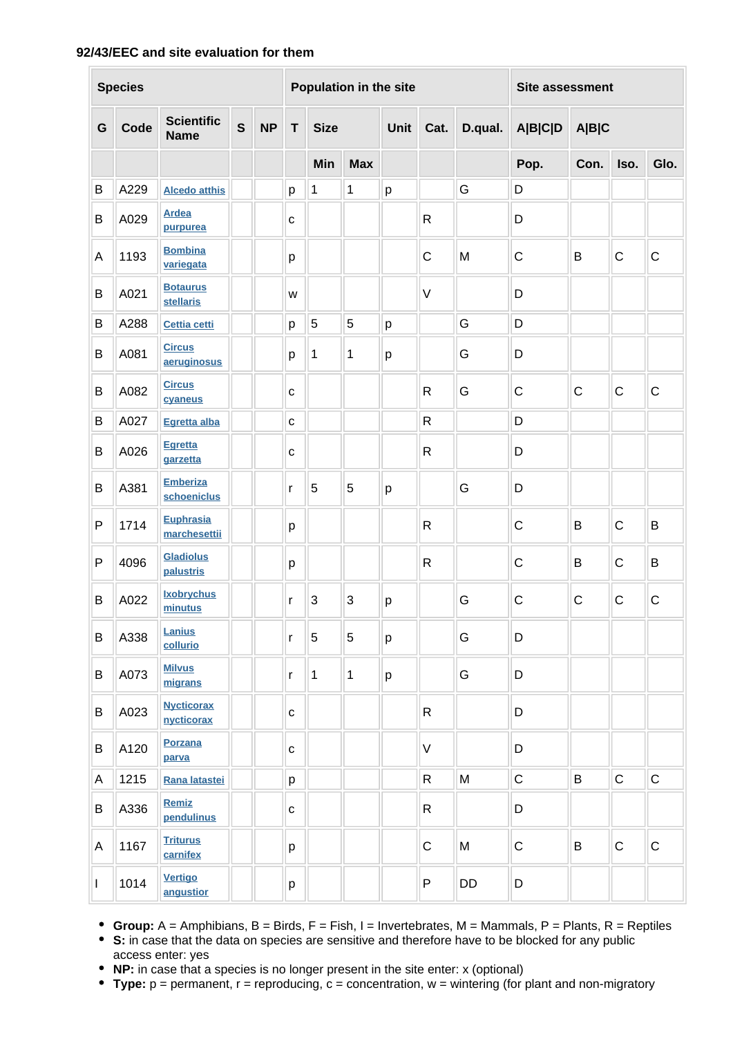### **92/43/EEC and site evaluation for them**

|   | <b>Species</b> |                                     |              |           |              |              | Population in the site |                         |              |                | <b>Site assessment</b> |              |              |              |
|---|----------------|-------------------------------------|--------------|-----------|--------------|--------------|------------------------|-------------------------|--------------|----------------|------------------------|--------------|--------------|--------------|
| G | Code           | <b>Scientific</b><br><b>Name</b>    | $\mathbf{s}$ | <b>NP</b> | T            | <b>Size</b>  |                        | Unit<br>D.qual.<br>Cat. |              | <b>A B C D</b> | A B C                  |              |              |              |
|   |                |                                     |              |           |              | Min          | <b>Max</b>             |                         |              |                | Pop.                   | Con.         | Iso.         | Glo.         |
| B | A229           | <b>Alcedo atthis</b>                |              |           | р            | 1            | 1                      | p                       |              | G              | D                      |              |              |              |
| В | A029           | <b>Ardea</b><br>purpurea            |              |           | $\mathbf C$  |              |                        |                         | $\mathsf{R}$ |                | D                      |              |              |              |
| Α | 1193           | <b>Bombina</b><br>variegata         |              |           | p            |              |                        |                         | $\mathsf C$  | M              | $\mathsf{C}$           | B            | $\mathsf C$  | $\mathbf C$  |
| В | A021           | <b>Botaurus</b><br><b>stellaris</b> |              |           | W            |              |                        |                         | V            |                | D                      |              |              |              |
| B | A288           | <b>Cettia cetti</b>                 |              |           | p            | 5            | 5                      | p                       |              | G              | D                      |              |              |              |
| B | A081           | <b>Circus</b><br>aeruginosus        |              |           | p            | 1            | 1                      | p                       |              | G              | D                      |              |              |              |
| B | A082           | <b>Circus</b><br>cvaneus            |              |           | $\mathbf{C}$ |              |                        |                         | $\mathsf{R}$ | G              | $\mathsf C$            | $\mathsf{C}$ | $\mathsf C$  | $\mathbf C$  |
| B | A027           | Egretta alba                        |              |           | $\mathbf{C}$ |              |                        |                         | R            |                | D                      |              |              |              |
| В | A026           | <b>Egretta</b><br>garzetta          |              |           | $\mathbf C$  |              |                        |                         | $\mathsf{R}$ |                | D                      |              |              |              |
| B | A381           | <b>Emberiza</b><br>schoeniclus      |              |           | r            | 5            | 5                      | p                       |              | G              | D                      |              |              |              |
| P | 1714           | <b>Euphrasia</b><br>marchesettii    |              |           | p            |              |                        |                         | $\mathsf{R}$ |                | $\mathsf C$            | B            | $\mathsf C$  | B            |
| P | 4096           | <b>Gladiolus</b><br>palustris       |              |           | p            |              |                        |                         | $\mathsf{R}$ |                | $\mathsf C$            | B            | $\mathsf{C}$ | B            |
| B | A022           | <b>Ixobrychus</b><br>minutus        |              |           | $\mathsf{r}$ | 3            | 3                      | p                       |              | G              | $\mathsf C$            | $\mathsf{C}$ | $\mathsf C$  | $\mathsf{C}$ |
| B | A338           | Lanius<br>collurio                  |              |           | $\mathsf{r}$ | $\sqrt{5}$   | $\sqrt{5}$             | p                       |              | G              | D                      |              |              |              |
| B | A073           | <b>Milvus</b><br>migrans            |              |           | $\mathsf{r}$ | $\mathbf{1}$ | $\mathbf{1}$           | p                       |              | G              | D                      |              |              |              |
| B | A023           | <b>Nycticorax</b><br>nycticorax     |              |           | $\mathbf C$  |              |                        |                         | $\mathsf{R}$ |                | D                      |              |              |              |
| B | A120           | Porzana<br>parva                    |              |           | $\mathbf C$  |              |                        |                         | V            |                | D                      |              |              |              |
| A | 1215           | Rana latastei                       |              |           | p            |              |                        |                         | $\mathsf{R}$ | M              | $\mathsf C$            | $\sf B$      | $\mathsf C$  | $\mathsf C$  |
| B | A336           | <b>Remiz</b><br>pendulinus          |              |           | $\mathbf{C}$ |              |                        |                         | $\mathsf R$  |                | D                      |              |              |              |
| Α | 1167           | <b>Triturus</b><br>carnifex         |              |           | p            |              |                        |                         | $\mathsf C$  | M              | $\mathsf C$            | B            | $\mathsf C$  | $\mathsf{C}$ |
| I | 1014           | <b>Vertigo</b><br>angustior         |              |           | р            |              |                        |                         | P            | DD             | D                      |              |              |              |

**Group:** A = Amphibians, B = Birds, F = Fish, I = Invertebrates, M = Mammals, P = Plants, R = Reptiles

**S:** in case that the data on species are sensitive and therefore have to be blocked for any public access enter: yes

**NP:** in case that a species is no longer present in the site enter: x (optional)

**Type:** p = permanent, r = reproducing, c = concentration, w = wintering (for plant and non-migratory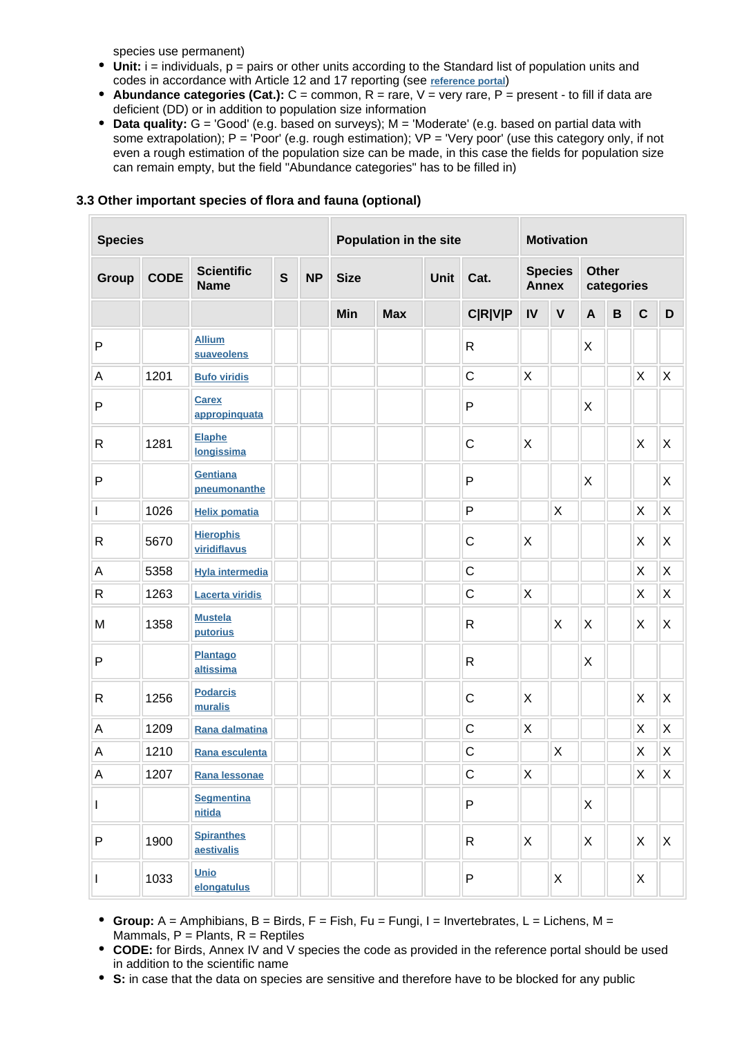species use permanent)

- Unit: i = individuals, p = pairs or other units according to the Standard list of population units and codes in accordance with Article 12 and 17 reporting (see **[reference portal](http://bd.eionet.europa.eu/activities/Natura_2000/reference_portal)**)
- **Abundance categories (Cat.):** C = common, R = rare, V = very rare, P = present to fill if data are deficient (DD) or in addition to population size information
- **Data quality:** G = 'Good' (e.g. based on surveys); M = 'Moderate' (e.g. based on partial data with some extrapolation); P = 'Poor' (e.g. rough estimation); VP = 'Very poor' (use this category only, if not even a rough estimation of the population size can be made, in this case the fields for population size can remain empty, but the field "Abundance categories" has to be filled in)

| <b>Species</b> |             |                                  | Population in the site |           |             |            | <b>Motivation</b> |                |                                |             |                            |                |              |                |
|----------------|-------------|----------------------------------|------------------------|-----------|-------------|------------|-------------------|----------------|--------------------------------|-------------|----------------------------|----------------|--------------|----------------|
| Group          | <b>CODE</b> | <b>Scientific</b><br><b>Name</b> | $\mathbf{s}$           | <b>NP</b> | <b>Size</b> |            | <b>Unit</b>       | Cat.           | <b>Species</b><br><b>Annex</b> |             | <b>Other</b><br>categories |                |              |                |
|                |             |                                  |                        |           | Min         | <b>Max</b> |                   | <b>C R V P</b> | IV                             | $\mathbf v$ | $\mathbf{A}$               | $\overline{B}$ | $\mathbf c$  | $\mathsf D$    |
| P              |             | <b>Allium</b><br>suaveolens      |                        |           |             |            |                   | $\mathsf{R}$   |                                |             | Χ                          |                |              |                |
| A              | 1201        | <b>Bufo viridis</b>              |                        |           |             |            |                   | $\mathsf{C}$   | X                              |             |                            |                | $\sf X$      | $\sf X$        |
| $\mathsf{P}$   |             | <b>Carex</b><br>appropinquata    |                        |           |             |            |                   | $\mathsf{P}$   |                                |             | X                          |                |              |                |
| ${\sf R}$      | 1281        | <b>Elaphe</b><br>longissima      |                        |           |             |            |                   | $\mathsf{C}$   | X                              |             |                            |                | X            | X              |
| $\sf P$        |             | <b>Gentiana</b><br>pneumonanthe  |                        |           |             |            |                   | $\mathsf{P}$   |                                |             | X                          |                |              | $\mathsf X$    |
| L              | 1026        | <b>Helix pomatia</b>             |                        |           |             |            |                   | $\mathsf{P}$   |                                | X           |                            |                | X            | Χ              |
| R              | 5670        | <b>Hierophis</b><br>viridiflavus |                        |           |             |            |                   | $\mathsf{C}$   | X                              |             |                            |                | X            | Χ              |
| А              | 5358        | <b>Hyla intermedia</b>           |                        |           |             |            |                   | $\mathsf{C}$   |                                |             |                            |                | X            | $\mathsf X$    |
| R              | 1263        | <b>Lacerta viridis</b>           |                        |           |             |            |                   | $\mathsf{C}$   | X                              |             |                            |                | X            | $\mathsf X$    |
| M              | 1358        | <b>Mustela</b><br>putorius       |                        |           |             |            |                   | $\mathsf{R}$   |                                | X           | Χ                          |                | X            | X              |
| P              |             | Plantago<br>altissima            |                        |           |             |            |                   | $\mathsf{R}$   |                                |             | X                          |                |              |                |
| R              | 1256        | <b>Podarcis</b><br>muralis       |                        |           |             |            |                   | $\mathsf{C}$   | X                              |             |                            |                | X            | X              |
| А              | 1209        | Rana dalmatina                   |                        |           |             |            |                   | $\mathsf{C}$   | Χ                              |             |                            |                | X            | X              |
| A              | 1210        | Rana esculenta                   |                        |           |             |            |                   | $\mathsf C$    |                                | $\times$    |                            |                | $\sf X$      | $\pmb{\times}$ |
| A              | 1207        | Rana lessonae                    |                        |           |             |            |                   | $\mathsf C$    | X                              |             |                            |                | $\sf X$      | $\pmb{\times}$ |
| I              |             | <b>Segmentina</b><br>nitida      |                        |           |             |            |                   | $\sf P$        |                                |             | X                          |                |              |                |
| P              | 1900        | <b>Spiranthes</b><br>aestivalis  |                        |           |             |            |                   | $\mathsf{R}$   | X                              |             | X                          |                | $\mathsf{X}$ | $\mathsf{X}$   |
| I              | 1033        | Unio<br>elongatulus              |                        |           |             |            |                   | ${\sf P}$      |                                | X           |                            |                | X            |                |

### **3.3 Other important species of flora and fauna (optional)**

- **Group:** A = Amphibians, B = Birds, F = Fish, Fu = Fungi, I = Invertebrates, L = Lichens, M = Mammals,  $P =$  Plants,  $R =$  Reptiles
- **CODE:** for Birds, Annex IV and V species the code as provided in the reference portal should be used in addition to the scientific name
- **S:** in case that the data on species are sensitive and therefore have to be blocked for any public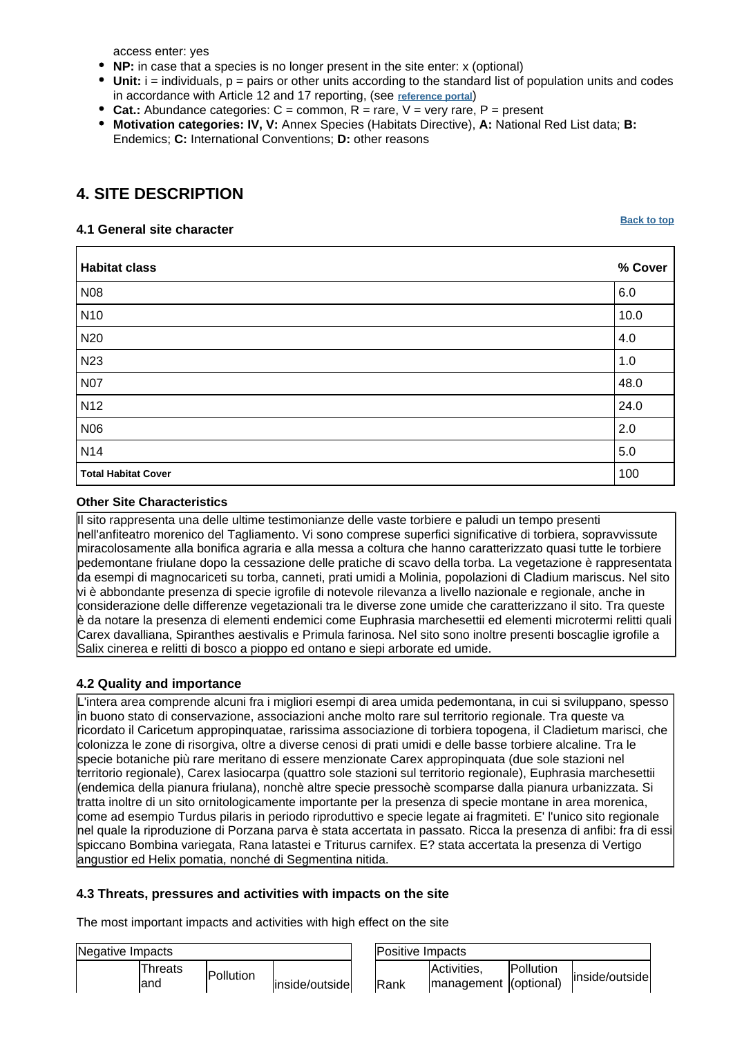access enter: yes

- **NP:** in case that a species is no longer present in the site enter: x (optional)
- $\bullet$  Unit:  $i =$  individuals,  $p =$  pairs or other units according to the standard list of population units and codes in accordance with Article 12 and 17 reporting, (see **[reference portal](http://bd.eionet.europa.eu/activities/Natura_2000/reference_portal)**)
- Cat.: Abundance categories:  $C =$  common,  $R =$  rare,  $V =$  very rare,  $P =$  present
- **Motivation categories: IV, V:** Annex Species (Habitats Directive), **A:** National Red List data; **B:** Endemics; **C:** International Conventions; **D:** other reasons

# <span id="page-4-0"></span>**4. SITE DESCRIPTION**

### **4.1 General site character**

**[Back to top](#page-0-0)**

| <b>Habitat class</b>       | % Cover |
|----------------------------|---------|
| <b>N08</b>                 | 6.0     |
| <b>N10</b>                 | 10.0    |
| N20                        | 4.0     |
| N <sub>23</sub>            | 1.0     |
| <b>N07</b>                 | 48.0    |
| <b>N12</b>                 | 24.0    |
| N06                        | 2.0     |
| <b>N14</b>                 | $5.0\,$ |
| <b>Total Habitat Cover</b> | 100     |

### **Other Site Characteristics**

Il sito rappresenta una delle ultime testimonianze delle vaste torbiere e paludi un tempo presenti nell'anfiteatro morenico del Tagliamento. Vi sono comprese superfici significative di torbiera, sopravvissute miracolosamente alla bonifica agraria e alla messa a coltura che hanno caratterizzato quasi tutte le torbiere pedemontane friulane dopo la cessazione delle pratiche di scavo della torba. La vegetazione è rappresentata da esempi di magnocariceti su torba, canneti, prati umidi a Molinia, popolazioni di Cladium mariscus. Nel sito vi è abbondante presenza di specie igrofile di notevole rilevanza a livello nazionale e regionale, anche in considerazione delle differenze vegetazionali tra le diverse zone umide che caratterizzano il sito. Tra queste è da notare la presenza di elementi endemici come Euphrasia marchesettii ed elementi microtermi relitti quali Carex davalliana, Spiranthes aestivalis e Primula farinosa. Nel sito sono inoltre presenti boscaglie igrofile a Salix cinerea e relitti di bosco a pioppo ed ontano e siepi arborate ed umide.

### **4.2 Quality and importance**

L'intera area comprende alcuni fra i migliori esempi di area umida pedemontana, in cui si sviluppano, spesso in buono stato di conservazione, associazioni anche molto rare sul territorio regionale. Tra queste va ricordato il Caricetum appropinquatae, rarissima associazione di torbiera topogena, il Cladietum marisci, che colonizza le zone di risorgiva, oltre a diverse cenosi di prati umidi e delle basse torbiere alcaline. Tra le specie botaniche più rare meritano di essere menzionate Carex appropinquata (due sole stazioni nel territorio regionale), Carex lasiocarpa (quattro sole stazioni sul territorio regionale), Euphrasia marchesettii (endemica della pianura friulana), nonchè altre specie pressochè scomparse dalla pianura urbanizzata. Si tratta inoltre di un sito ornitologicamente importante per la presenza di specie montane in area morenica, come ad esempio Turdus pilaris in periodo riproduttivo e specie legate ai fragmiteti. E' l'unico sito regionale nel quale la riproduzione di Porzana parva è stata accertata in passato. Ricca la presenza di anfibi: fra di essi spiccano Bombina variegata, Rana latastei e Triturus carnifex. E? stata accertata la presenza di Vertigo angustior ed Helix pomatia, nonché di Segmentina nitida.

### **4.3 Threats, pressures and activities with impacts on the site**

The most important impacts and activities with high effect on the site

| Negative Impacts             | Positive Impacts |      |                                      |                   |                |
|------------------------------|------------------|------|--------------------------------------|-------------------|----------------|
| Threats<br>Pollution<br>land | inside/outside   | Rank | Activities,<br>management (optional) | <b>IPollution</b> | inside/outside |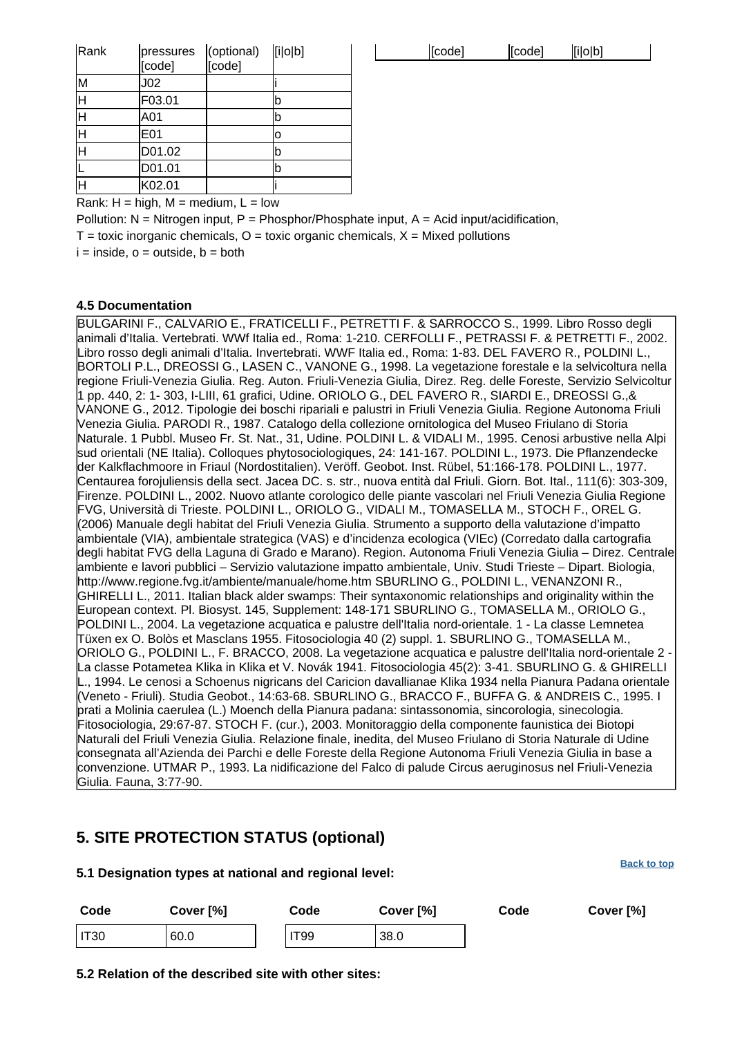| pressures       | (optional) | [i o b] |  | [code] | [code] | [i o b] |
|-----------------|------------|---------|--|--------|--------|---------|
|                 |            |         |  |        |        |         |
| J02             |            |         |  |        |        |         |
| F03.01          |            |         |  |        |        |         |
| A01             |            |         |  |        |        |         |
| E <sub>01</sub> |            |         |  |        |        |         |
| D01.02          |            |         |  |        |        |         |
| D01.01          |            |         |  |        |        |         |
| K02.01          |            |         |  |        |        |         |
|                 | [code]     | [code]  |  |        |        |         |

| [i o b]<br>[code]<br>[code] |  |
|-----------------------------|--|
|-----------------------------|--|

Rank:  $H = high$ ,  $M = medium$ ,  $L = low$ 

Pollution:  $N = N$ itrogen input, P = Phosphor/Phosphate input, A = Acid input/acidification,

 $T =$  toxic inorganic chemicals,  $O =$  toxic organic chemicals,  $X =$  Mixed pollutions

 $i =$  inside,  $o =$  outside,  $b =$  both

#### **4.5 Documentation**

BULGARINI F., CALVARIO E., FRATICELLI F., PETRETTI F. & SARROCCO S., 1999. Libro Rosso degli animali d'Italia. Vertebrati. WWf Italia ed., Roma: 1-210. CERFOLLI F., PETRASSI F. & PETRETTI F., 2002. Libro rosso degli animali d'Italia. Invertebrati. WWF Italia ed., Roma: 1-83. DEL FAVERO R., POLDINI L., BORTOLI P.L., DREOSSI G., LASEN C., VANONE G., 1998. La vegetazione forestale e la selvicoltura nella regione Friuli-Venezia Giulia. Reg. Auton. Friuli-Venezia Giulia, Direz. Reg. delle Foreste, Servizio Selvicoltur 1 pp. 440, 2: 1- 303, I-LIII, 61 grafici, Udine. ORIOLO G., DEL FAVERO R., SIARDI E., DREOSSI G.,& VANONE G., 2012. Tipologie dei boschi ripariali e palustri in Friuli Venezia Giulia. Regione Autonoma Friuli Venezia Giulia. PARODI R., 1987. Catalogo della collezione ornitologica del Museo Friulano di Storia Naturale. 1 Pubbl. Museo Fr. St. Nat., 31, Udine.
POLDINI L. & VIDALI M., 1995. Cenosi arbustive nella Alpi sud orientali (NE Italia). Colloques phytosociologiques, 24: 141-167.
POLDINI L., 1973. Die Pflanzendecke der Kalkflachmoore in Friaul (Nordostitalien). Veröff. Geobot. Inst. Rübel, 51:166-178.
POLDINI L., 1977. Centaurea forojuliensis della sect. Jacea DC. s. str., nuova entità dal Friuli. Giorn. Bot. Ital., 111(6): 303-309, Firenze.
POLDINI L., 2002. Nuovo atlante corologico delle piante vascolari nel Friuli Venezia Giulia Regione FVG, Università di Trieste. POLDINI L., ORIOLO G., VIDALI M., TOMASELLA M., STOCH F., OREL G. (2006) Manuale degli habitat del Friuli Venezia Giulia. Strumento a supporto della valutazione d'impatto ambientale (VIA), ambientale strategica (VAS) e d'incidenza ecologica (VIEc) (Corredato dalla cartografia degli habitat FVG della Laguna di Grado e Marano). Region. Autonoma Friuli Venezia Giulia – Direz. Centrale ambiente e lavori pubblici – Servizio valutazione impatto ambientale, Univ. Studi Trieste – Dipart. Biologia, http://www.regione.fvg.it/ambiente/manuale/home.htm SBURLINO G., POLDINI L., VENANZONI R., GHIRELLI L., 2011. Italian black alder swamps: Their syntaxonomic relationships and originality within the European context. Pl. Biosyst. 145, Supplement: 148-171 SBURLINO G., TOMASELLA M., ORIOLO G., POLDINI L., 2004. La vegetazione acquatica e palustre dell'Italia nord-orientale. 1 - La classe Lemnetea Tüxen ex O. Bolòs et Masclans 1955. Fitosociologia 40 (2) suppl. 1. SBURLINO G., TOMASELLA M., ORIOLO G., POLDINI L., F. BRACCO, 2008. La vegetazione acquatica e palustre dell'Italia nord-orientale 2 - La classe Potametea Klika in Klika et V. Novák 1941. Fitosociologia 45(2): 3-41. SBURLINO G. & GHIRELLI L., 1994. Le cenosi a Schoenus nigricans del Caricion davallianae Klika 1934 nella Pianura Padana orientale (Veneto - Friuli). Studia Geobot., 14:63-68.
SBURLINO G., BRACCO F., BUFFA G. & ANDREIS C., 1995. I prati a Molinia caerulea (L.) Moench della Pianura padana: sintassonomia, sincorologia, sinecologia. Fitosociologia, 29:67-87.
STOCH F. (cur.), 2003. Monitoraggio della componente faunistica dei Biotopi Naturali del Friuli Venezia Giulia. Relazione finale, inedita, del Museo Friulano di Storia Naturale di Udine consegnata all'Azienda dei Parchi e delle Foreste della Regione Autonoma Friuli Venezia Giulia in base a convenzione. UTMAR P., 1993. La nidificazione del Falco di palude Circus aeruginosus nel Friuli-Venezia Giulia. Fauna, 3:77-90.

### <span id="page-5-0"></span>**5. SITE PROTECTION STATUS (optional)**

#### **5.1 Designation types at national and regional level:**

| Code   | Cover [%] |  | Code        | Cover [%] | Code | Cover [%] |
|--------|-----------|--|-------------|-----------|------|-----------|
| I IT30 | 60.0      |  | <b>IT99</b> | 38.0      |      |           |

**5.2 Relation of the described site with other sites:**

**[Back to top](#page-0-0)**